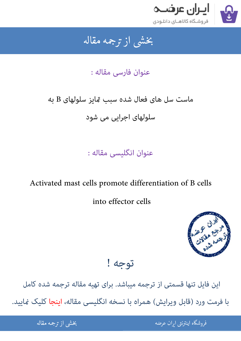

### جمه مقاله شی از تر بخشی از :

## عنوان فارسی مقاله :

# ماست سل های فعال شده سبب تمایز سلولهای B به

سلولهای اجرایی می شود

عنوان انگلیسی مقاله :

## Activated mast cells promote differentiation of B cells

into effector cells



توجه !

این فایل تنها قسمتی از ترجمه میباشد. برای تهیه مقاله ترجمه شده کامل با فرمت ورد (قابل ویرایش) همراه با نسخه انگلیسی مقاله، اینجا کلیک غایید.

> ֦֘ ه اينترنتي ايران عرضه مستخدم استخدام استخدام المستخدم المستخدم المستخدم المستخدم المستخدم المستخدم المستخدم ال

شی از ترجمه <mark>مقا</mark>له